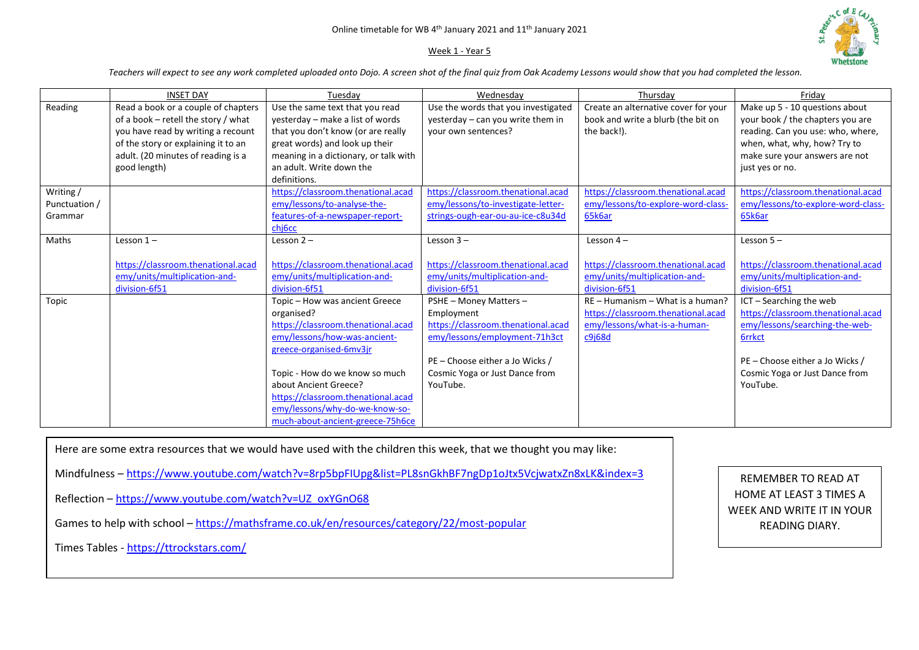## Week 1 - Year 5



*Teachers will expect to see any work completed uploaded onto Dojo. A screen shot of the final quiz from Oak Academy Lessons would show that you had completed the lesson.* 

|                                       | <b>INSET DAY</b>                                                                                                                                                                                              | Tuesdav                                                                                                                                                                                                                                                                                                              | Wednesdav                                                                                                                                                                                    | Thursdav                                                                                                           | Fridav                                                                                                                                                                                            |
|---------------------------------------|---------------------------------------------------------------------------------------------------------------------------------------------------------------------------------------------------------------|----------------------------------------------------------------------------------------------------------------------------------------------------------------------------------------------------------------------------------------------------------------------------------------------------------------------|----------------------------------------------------------------------------------------------------------------------------------------------------------------------------------------------|--------------------------------------------------------------------------------------------------------------------|---------------------------------------------------------------------------------------------------------------------------------------------------------------------------------------------------|
| Reading                               | Read a book or a couple of chapters<br>of a book - retell the story / what<br>you have read by writing a recount<br>of the story or explaining it to an<br>adult. (20 minutes of reading is a<br>good length) | Use the same text that you read<br>yesterday - make a list of words<br>that you don't know (or are really<br>great words) and look up their<br>meaning in a dictionary, or talk with<br>an adult. Write down the<br>definitions.                                                                                     | Use the words that you investigated<br>yesterday - can you write them in<br>your own sentences?                                                                                              | Create an alternative cover for your<br>book and write a blurb (the bit on<br>the back!).                          | Make up 5 - 10 questions about<br>your book / the chapters you are<br>reading. Can you use: who, where,<br>when, what, why, how? Try to<br>make sure your answers are not<br>just yes or no.      |
| Writing /<br>Punctuation /<br>Grammar |                                                                                                                                                                                                               | https://classroom.thenational.acad<br>emy/lessons/to-analyse-the-<br>features-of-a-newspaper-report-<br>chi <sub>6</sub> cc                                                                                                                                                                                          | https://classroom.thenational.acad<br>emy/lessons/to-investigate-letter-<br>strings-ough-ear-ou-au-ice-c8u34d                                                                                | https://classroom.thenational.acad<br>emy/lessons/to-explore-word-class-<br>65k6ar                                 | https://classroom.thenational.acad<br>emy/lessons/to-explore-word-class-<br>65k6ar                                                                                                                |
| Maths                                 | Lesson $1-$<br>https://classroom.thenational.acad<br>emy/units/multiplication-and-<br>division-6f51                                                                                                           | Lesson $2 -$<br>https://classroom.thenational.acad<br>emy/units/multiplication-and-<br>division-6f51                                                                                                                                                                                                                 | Lesson $3 -$<br>https://classroom.thenational.acad<br>emy/units/multiplication-and-<br>division-6f51                                                                                         | Lesson $4-$<br>https://classroom.thenational.acad<br>emy/units/multiplication-and-<br>division-6f51                | Lesson $5 -$<br>https://classroom.thenational.acad<br>emy/units/multiplication-and-<br>division-6f51                                                                                              |
| Topic                                 |                                                                                                                                                                                                               | Topic - How was ancient Greece<br>organised?<br>https://classroom.thenational.acad<br>emy/lessons/how-was-ancient-<br>greece-organised-6mv3jr<br>Topic - How do we know so much<br>about Ancient Greece?<br>https://classroom.thenational.acad<br>emy/lessons/why-do-we-know-so-<br>much-about-ancient-greece-75h6ce | PSHE - Money Matters -<br>Employment<br>https://classroom.thenational.acad<br>emy/lessons/employment-71h3ct<br>PE - Choose either a Jo Wicks /<br>Cosmic Yoga or Just Dance from<br>YouTube. | $RE - Humanism - What is a human?$<br>https://classroom.thenational.acad<br>emy/lessons/what-is-a-human-<br>c9j68d | ICT - Searching the web<br>https://classroom.thenational.acad<br>emy/lessons/searching-the-web-<br><b>6rrkct</b><br>PE - Choose either a Jo Wicks /<br>Cosmic Yoga or Just Dance from<br>YouTube. |

Here are some extra resources that we would have used with the children this week, that we thought you may like:

Mindfulness – <https://www.youtube.com/watch?v=8rp5bpFIUpg&list=PL8snGkhBF7ngDp1oJtx5VcjwatxZn8xLK&index=3>

Reflection – [https://www.youtube.com/watch?v=UZ\\_oxYGnO68](https://www.youtube.com/watch?v=UZ_oxYGnO68)

Games to help with school – <https://mathsframe.co.uk/en/resources/category/22/most-popular>

Times Tables - <https://ttrockstars.com/>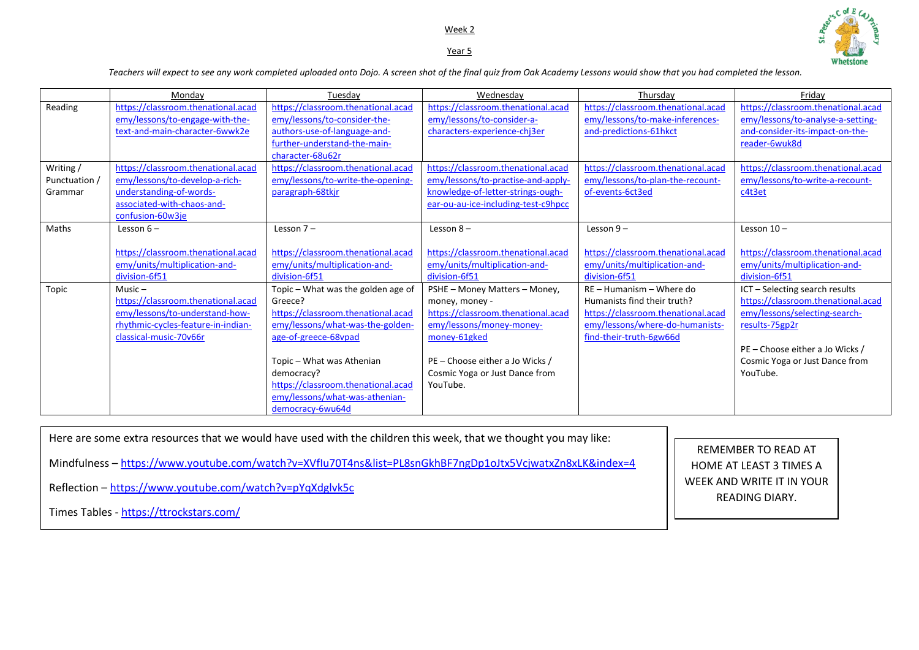## Week 2 Year 5



*Teachers will expect to see any work completed uploaded onto Dojo. A screen shot of the final quiz from Oak Academy Lessons would show that you had completed the lesson.* 

|             | Mondav                             | Tuesdav                            | Wednesday                           | Thursdav                           | Fridav                             |
|-------------|------------------------------------|------------------------------------|-------------------------------------|------------------------------------|------------------------------------|
| Reading     | https://classroom.thenational.acad | https://classroom.thenational.acad | https://classroom.thenational.acad  | https://classroom.thenational.acad | https://classroom.thenational.acad |
|             | emy/lessons/to-engage-with-the-    | emy/lessons/to-consider-the-       | emy/lessons/to-consider-a-          | emy/lessons/to-make-inferences-    | emy/lessons/to-analyse-a-setting-  |
|             | text-and-main-character-6wwk2e     | authors-use-of-language-and-       | characters-experience-chj3er        | and-predictions-61hkct             | and-consider-its-impact-on-the-    |
|             |                                    | further-understand-the-main-       |                                     |                                    | reader-6wuk8d                      |
|             |                                    | character-68u62r                   |                                     |                                    |                                    |
| Writing/    | https://classroom.thenational.acad | https://classroom.thenational.acad | https://classroom.thenational.acad  | https://classroom.thenational.acad | https://classroom.thenational.acad |
| Punctuation | emy/lessons/to-develop-a-rich-     | emy/lessons/to-write-the-opening-  | emy/lessons/to-practise-and-apply-  | emy/lessons/to-plan-the-recount-   | emy/lessons/to-write-a-recount-    |
| Grammar     | understanding-of-words-            | paragraph-68tkjr                   | knowledge-of-letter-strings-ough-   | of-events-6ct3ed                   | c4t3et                             |
|             | associated-with-chaos-and-         |                                    | ear-ou-au-ice-including-test-c9hpcc |                                    |                                    |
|             | confusion-60w3je                   |                                    |                                     |                                    |                                    |
| Maths       | Lesson $6-$                        | Lesson $7-$                        | Lesson $8-$                         | Lesson $9-$                        | Lesson $10 -$                      |
|             |                                    |                                    |                                     |                                    |                                    |
|             | https://classroom.thenational.acad | https://classroom.thenational.acad | https://classroom.thenational.acad  | https://classroom.thenational.acad | https://classroom.thenational.acad |
|             | emy/units/multiplication-and-      | emy/units/multiplication-and-      | emy/units/multiplication-and-       | emy/units/multiplication-and-      | emy/units/multiplication-and-      |
|             | division-6f51                      | division-6f51                      | division-6f51                       | division-6f51                      | division-6f51                      |
| Topic       | $Music -$                          | Topic - What was the golden age of | PSHE - Money Matters - Money,       | RE - Humanism - Where do           | ICT - Selecting search results     |
|             | https://classroom.thenational.acad | Greece?                            | money, money -                      | Humanists find their truth?        | https://classroom.thenational.acad |
|             | emy/lessons/to-understand-how-     | https://classroom.thenational.acad | https://classroom.thenational.acad  | https://classroom.thenational.acad | emy/lessons/selecting-search-      |
|             | rhythmic-cycles-feature-in-indian- | emy/lessons/what-was-the-golden-   | emy/lessons/money-money-            | emy/lessons/where-do-humanists-    | results-75gp2r                     |
|             | classical-music-70v66r             | age-of-greece-68vpad               | money-61gked                        | find-their-truth-6gw66d            |                                    |
|             |                                    |                                    |                                     |                                    | PE – Choose either a Jo Wicks /    |
|             |                                    | Topic - What was Athenian          | PE – Choose either a Jo Wicks /     |                                    | Cosmic Yoga or Just Dance from     |
|             |                                    | democracy?                         | Cosmic Yoga or Just Dance from      |                                    | YouTube.                           |
|             |                                    | https://classroom.thenational.acad | YouTube.                            |                                    |                                    |
|             |                                    | emy/lessons/what-was-athenian-     |                                     |                                    |                                    |
|             |                                    | democracy-6wu64d                   |                                     |                                    |                                    |

Here are some extra resources that we would have used with the children this week, that we thought you may like:

Mindfulness – <https://www.youtube.com/watch?v=XVfIu70T4ns&list=PL8snGkhBF7ngDp1oJtx5VcjwatxZn8xLK&index=4>

Reflection – <https://www.youtube.com/watch?v=pYqXdglvk5c>

Times Tables - <https://ttrockstars.com/>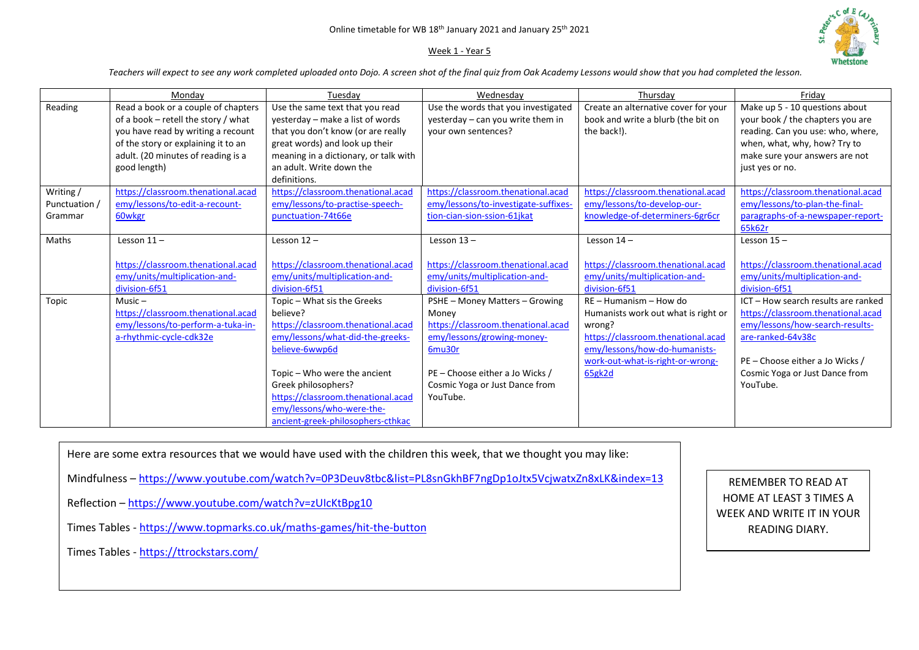## Week 1 - Year 5



*Teachers will expect to see any work completed uploaded onto Dojo. A screen shot of the final quiz from Oak Academy Lessons would show that you had completed the lesson.* 

|                                       | Monday                                                                                                                                                                                                        | Tuesday                                                                                                                                                                                                                                                                                            | Wednesday                                                                                                                                                                                              | Thursday                                                                                                                                                                                     | Friday                                                                                                                                                                                                             |
|---------------------------------------|---------------------------------------------------------------------------------------------------------------------------------------------------------------------------------------------------------------|----------------------------------------------------------------------------------------------------------------------------------------------------------------------------------------------------------------------------------------------------------------------------------------------------|--------------------------------------------------------------------------------------------------------------------------------------------------------------------------------------------------------|----------------------------------------------------------------------------------------------------------------------------------------------------------------------------------------------|--------------------------------------------------------------------------------------------------------------------------------------------------------------------------------------------------------------------|
| Reading                               | Read a book or a couple of chapters<br>of a book - retell the story / what<br>you have read by writing a recount<br>of the story or explaining it to an<br>adult. (20 minutes of reading is a<br>good length) | Use the same text that you read<br>yesterday - make a list of words<br>that you don't know (or are really<br>great words) and look up their<br>meaning in a dictionary, or talk with<br>an adult. Write down the<br>definitions.                                                                   | Use the words that you investigated<br>yesterday - can you write them in<br>your own sentences?                                                                                                        | Create an alternative cover for your<br>book and write a blurb (the bit on<br>the back!).                                                                                                    | Make up 5 - 10 questions about<br>your book / the chapters you are<br>reading. Can you use: who, where,<br>when, what, why, how? Try to<br>make sure your answers are not<br>just yes or no.                       |
| Writing /<br>Punctuation /<br>Grammar | https://classroom.thenational.acad<br>emy/lessons/to-edit-a-recount-<br>60wkgr                                                                                                                                | https://classroom.thenational.acad<br>emy/lessons/to-practise-speech-<br>punctuation-74t66e                                                                                                                                                                                                        | https://classroom.thenational.acad<br>emy/lessons/to-investigate-suffixes-<br>tion-cian-sion-ssion-61jkat                                                                                              | https://classroom.thenational.acad<br>emy/lessons/to-develop-our-<br>knowledge-of-determiners-6gr6cr                                                                                         | https://classroom.thenational.acad<br>emy/lessons/to-plan-the-final-<br>paragraphs-of-a-newspaper-report-<br>65k62r                                                                                                |
| Maths                                 | Lesson $11 -$<br>https://classroom.thenational.acad<br>emy/units/multiplication-and-<br>division-6f51                                                                                                         | Lesson $12 -$<br>https://classroom.thenational.acad<br>emy/units/multiplication-and-<br>division-6f51                                                                                                                                                                                              | Lesson $13 -$<br>https://classroom.thenational.acad<br>emy/units/multiplication-and-<br>division-6f51                                                                                                  | Lesson $14 -$<br>https://classroom.thenational.acad<br>emy/units/multiplication-and-<br>division-6f51                                                                                        | Lesson $15 -$<br>https://classroom.thenational.acad<br>emy/units/multiplication-and-<br>division-6f51                                                                                                              |
| Topic                                 | $Music -$<br>https://classroom.thenational.acad<br>emy/lessons/to-perform-a-tuka-in-<br>a-rhythmic-cycle-cdk32e                                                                                               | Topic - What sis the Greeks<br>believe?<br>https://classroom.thenational.acad<br>emy/lessons/what-did-the-greeks-<br>believe-6wwp6d<br>Topic - Who were the ancient<br>Greek philosophers?<br>https://classroom.thenational.acad<br>emy/lessons/who-were-the-<br>ancient-greek-philosophers-cthkac | PSHE - Money Matters - Growing<br>Money<br>https://classroom.thenational.acad<br>emy/lessons/growing-money-<br>6mu30r<br>PE - Choose either a Jo Wicks /<br>Cosmic Yoga or Just Dance from<br>YouTube. | RE - Humanism - How do<br>Humanists work out what is right or<br>wrong?<br>https://classroom.thenational.acad<br>emy/lessons/how-do-humanists-<br>work-out-what-is-right-or-wrong-<br>65gk2d | ICT - How search results are ranked<br>https://classroom.thenational.acad<br>emy/lessons/how-search-results-<br>are-ranked-64v38c<br>PE - Choose either a Jo Wicks /<br>Cosmic Yoga or Just Dance from<br>YouTube. |

Here are some extra resources that we would have used with the children this week, that we thought you may like:

Mindfulness – <https://www.youtube.com/watch?v=0P3Deuv8tbc&list=PL8snGkhBF7ngDp1oJtx5VcjwatxZn8xLK&index=13>

- Reflection <https://www.youtube.com/watch?v=zUIcKtBpg10>
- Times Tables <https://www.topmarks.co.uk/maths-games/hit-the-button>

Times Tables - <https://ttrockstars.com/>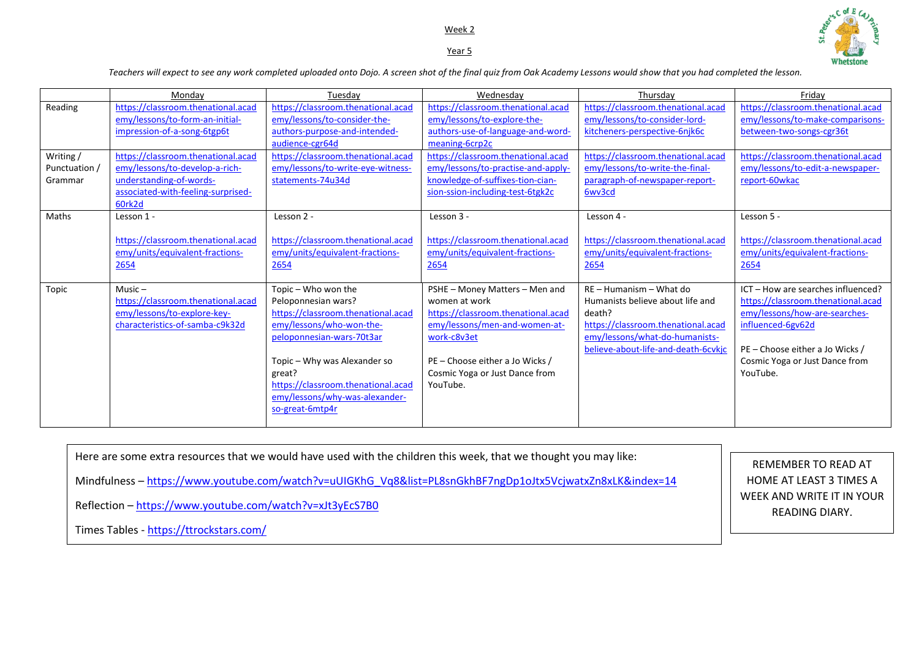# Week 2 Year 5



*Teachers will expect to see any work completed uploaded onto Dojo. A screen shot of the final quiz from Oak Academy Lessons would show that you had completed the lesson.* 

|                                                  | Monday                                                                                                                                                                                                                                                  | Tuesdav                                                                                                                                                                                                                                                                        | Wednesday                                                                                                                                                                                                                                                                    | Thursday                                                                                                                                                                                                                  | Fridav                                                                                                                                                                                                          |
|--------------------------------------------------|---------------------------------------------------------------------------------------------------------------------------------------------------------------------------------------------------------------------------------------------------------|--------------------------------------------------------------------------------------------------------------------------------------------------------------------------------------------------------------------------------------------------------------------------------|------------------------------------------------------------------------------------------------------------------------------------------------------------------------------------------------------------------------------------------------------------------------------|---------------------------------------------------------------------------------------------------------------------------------------------------------------------------------------------------------------------------|-----------------------------------------------------------------------------------------------------------------------------------------------------------------------------------------------------------------|
| Reading<br>Writing /<br>Punctuation /<br>Grammar | https://classroom.thenational.acad<br>emy/lessons/to-form-an-initial-<br>impression-of-a-song-6tgp6t<br>https://classroom.thenational.acad<br>emy/lessons/to-develop-a-rich-<br>understanding-of-words-<br>associated-with-feeling-surprised-<br>60rk2d | https://classroom.thenational.acad<br>emy/lessons/to-consider-the-<br>authors-purpose-and-intended-<br>audience-cgr64d<br>https://classroom.thenational.acad<br>emy/lessons/to-write-eye-witness-<br>statements-74u34d                                                         | https://classroom.thenational.acad<br>emy/lessons/to-explore-the-<br>authors-use-of-language-and-word-<br>meaning-6crp2c<br>https://classroom.thenational.acad<br>emy/lessons/to-practise-and-apply-<br>knowledge-of-suffixes-tion-cian-<br>sion-ssion-including-test-6tgk2c | https://classroom.thenational.acad<br>emy/lessons/to-consider-lord-<br>kitcheners-perspective-6njk6c<br>https://classroom.thenational.acad<br>emy/lessons/to-write-the-final-<br>paragraph-of-newspaper-report-<br>6wv3cd | https://classroom.thenational.acad<br>emy/lessons/to-make-comparisons-<br>between-two-songs-cgr36t<br>https://classroom.thenational.acad<br>emy/lessons/to-edit-a-newspaper-<br>report-60wkac                   |
| Maths                                            | Lesson 1 -<br>https://classroom.thenational.acad<br>emy/units/equivalent-fractions-<br>2654                                                                                                                                                             | Lesson 2 -<br>https://classroom.thenational.acad<br>emy/units/equivalent-fractions-<br>2654                                                                                                                                                                                    | Lesson 3 -<br>https://classroom.thenational.acad<br>emy/units/equivalent-fractions-<br>2654                                                                                                                                                                                  | Lesson 4 -<br>https://classroom.thenational.acad<br>emy/units/equivalent-fractions-<br>2654                                                                                                                               | Lesson 5 -<br>https://classroom.thenational.acad<br>emy/units/equivalent-fractions-<br>2654                                                                                                                     |
| Topic                                            | Music $-$<br>https://classroom.thenational.acad<br>emy/lessons/to-explore-key-<br>characteristics-of-samba-c9k32d                                                                                                                                       | Topic - Who won the<br>Peloponnesian wars?<br>https://classroom.thenational.acad<br>emy/lessons/who-won-the-<br>peloponnesian-wars-70t3ar<br>Topic - Why was Alexander so<br>great?<br>https://classroom.thenational.acad<br>emy/lessons/why-was-alexander-<br>so-great-6mtp4r | PSHE - Money Matters - Men and<br>women at work<br>https://classroom.thenational.acad<br>emy/lessons/men-and-women-at-<br>work-c8v3et<br>PE - Choose either a Jo Wicks /<br>Cosmic Yoga or Just Dance from<br>YouTube.                                                       | RE - Humanism - What do<br>Humanists believe about life and<br>death?<br>https://classroom.thenational.acad<br>emy/lessons/what-do-humanists-<br>believe-about-life-and-death-6cvkjc                                      | ICT - How are searches influenced?<br>https://classroom.thenational.acad<br>emy/lessons/how-are-searches-<br>influenced-6gv62d<br>PE - Choose either a Jo Wicks /<br>Cosmic Yoga or Just Dance from<br>YouTube. |

Here are some extra resources that we would have used with the children this week, that we thought you may like: Mindfulness – [https://www.youtube.com/watch?v=uUIGKhG\\_Vq8&list=PL8snGkhBF7ngDp1oJtx5VcjwatxZn8xLK&index=14](https://www.youtube.com/watch?v=uUIGKhG_Vq8&list=PL8snGkhBF7ngDp1oJtx5VcjwatxZn8xLK&index=14) Reflection – <https://www.youtube.com/watch?v=xJt3yEcS7B0> Times Tables - <https://ttrockstars.com/> REMEMBER TO READ AT HOME AT LEAST 3 TIMES A WEEK AND WRITE IT IN YOUR READING DIARY.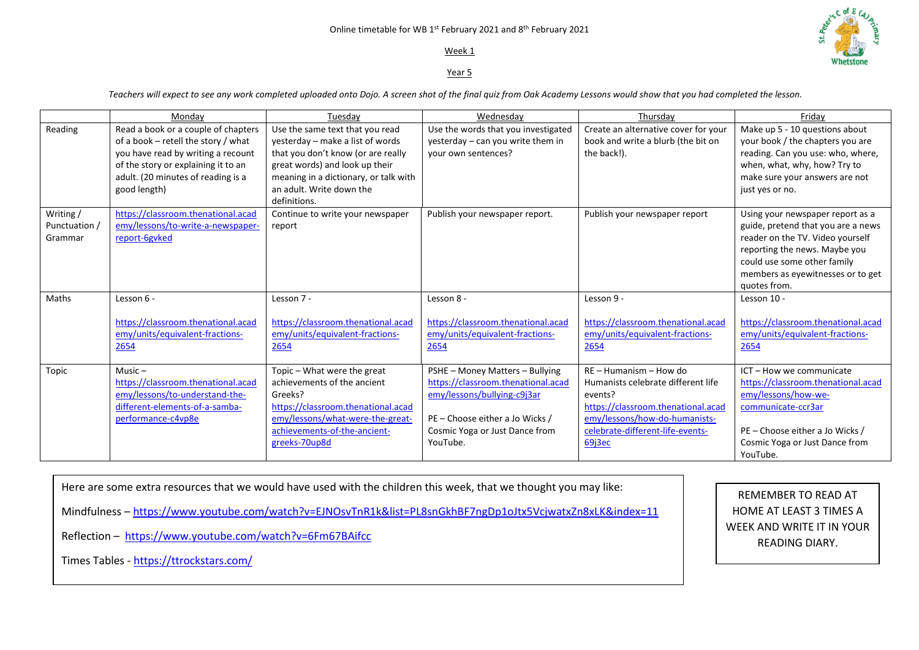#### Online timetable for WB 1st February 2021 and  $8^\text{th}$  February 2021

## Week 1

### Year 5

*Teachers will expect to see any work completed uploaded onto Dojo. A screen shot of the final quiz from Oak Academy Lessons would show that you had completed the lesson.* 

|                                       | Mondav                                                                                                                                                                                                        | Tuesdav                                                                                                                                                                                                                          | Wednesdav                                                                                                                                                                             | Thursdav                                                                                                                                                                                       | Fridav                                                                                                                                                                                                                          |
|---------------------------------------|---------------------------------------------------------------------------------------------------------------------------------------------------------------------------------------------------------------|----------------------------------------------------------------------------------------------------------------------------------------------------------------------------------------------------------------------------------|---------------------------------------------------------------------------------------------------------------------------------------------------------------------------------------|------------------------------------------------------------------------------------------------------------------------------------------------------------------------------------------------|---------------------------------------------------------------------------------------------------------------------------------------------------------------------------------------------------------------------------------|
| Reading                               | Read a book or a couple of chapters<br>of a book - retell the story / what<br>you have read by writing a recount<br>of the story or explaining it to an<br>adult. (20 minutes of reading is a<br>good length) | Use the same text that you read<br>yesterday - make a list of words<br>that you don't know (or are really<br>great words) and look up their<br>meaning in a dictionary, or talk with<br>an adult. Write down the<br>definitions. | Use the words that you investigated<br>yesterday - can you write them in<br>your own sentences?                                                                                       | Create an alternative cover for your<br>book and write a blurb (the bit on<br>the back!).                                                                                                      | Make up 5 - 10 questions about<br>your book / the chapters you are<br>reading. Can you use: who, where,<br>when, what, why, how? Try to<br>make sure your answers are not<br>just yes or no.                                    |
| Writing /<br>Punctuation /<br>Grammar | https://classroom.thenational.acad<br>emy/lessons/to-write-a-newspaper-<br>report-6gyked                                                                                                                      | Continue to write your newspaper<br>report                                                                                                                                                                                       | Publish your newspaper report.                                                                                                                                                        | Publish your newspaper report                                                                                                                                                                  | Using your newspaper report as a<br>guide, pretend that you are a news<br>reader on the TV. Video yourself<br>reporting the news. Maybe you<br>could use some other family<br>members as eyewitnesses or to get<br>quotes from. |
| Maths                                 | Lesson 6 -<br>https://classroom.thenational.acad<br>emy/units/equivalent-fractions-<br>2654                                                                                                                   | Lesson 7 -<br>https://classroom.thenational.acad<br>emy/units/equivalent-fractions-<br>2654                                                                                                                                      | Lesson 8 -<br>https://classroom.thenational.acad<br>emy/units/equivalent-fractions-<br>2654                                                                                           | Lesson 9 -<br>https://classroom.thenational.acad<br>emy/units/equivalent-fractions-<br>2654                                                                                                    | Lesson 10 -<br>https://classroom.thenational.acad<br>emy/units/equivalent-fractions-<br>2654                                                                                                                                    |
| Topic                                 | Music $-$<br>https://classroom.thenational.acad<br>emy/lessons/to-understand-the-<br>different-elements-of-a-samba-<br>performance-c4vp8e                                                                     | Topic - What were the great<br>achievements of the ancient<br>Greeks?<br>https://classroom.thenational.acad<br>emy/lessons/what-were-the-great-<br>achievements-of-the-ancient-<br>greeks-70up8d                                 | PSHE - Money Matters - Bullying<br>https://classroom.thenational.acad<br>emy/lessons/bullying-c9j3ar<br>PE - Choose either a Jo Wicks /<br>Cosmic Yoga or Just Dance from<br>YouTube. | $RE - Humanism - How do$<br>Humanists celebrate different life<br>events?<br>https://classroom.thenational.acad<br>emy/lessons/how-do-humanists-<br>celebrate-different-life-events-<br>69j3ec | ICT - How we communicate<br>https://classroom.thenational.acad<br>emy/lessons/how-we-<br>communicate-ccr3ar<br>$PE$ – Choose either a Jo Wicks /<br>Cosmic Yoga or Just Dance from<br>YouTube.                                  |

Here are some extra resources that we would have used with the children this week, that we thought you may like: Mindfulness – <https://www.youtube.com/watch?v=EJNOsvTnR1k&list=PL8snGkhBF7ngDp1oJtx5VcjwatxZn8xLK&index=11> Reflection –<https://www.youtube.com/watch?v=6Fm67BAifcc> Times Tables - <https://ttrockstars.com/>